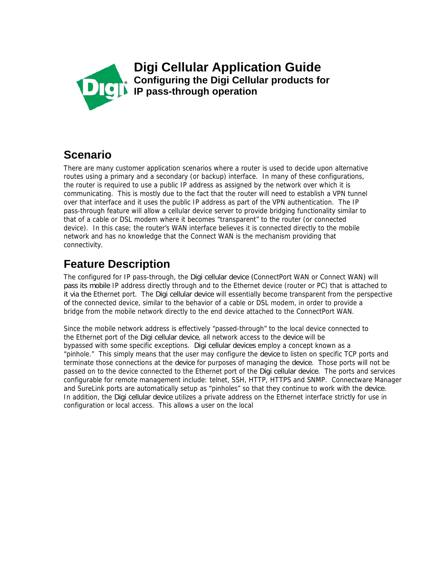

**Digi Cellular Application Guide Configuring the Digi Cellular products for IP pass-through operation** 

## **Scenario**

There are many customer application scenarios where a router is used to decide upon alternative routes using a primary and a secondary (or backup) interface. In many of these configurations, the router is required to use a public IP address as assigned by the network over which it is communicating. This is mostly due to the fact that the router will need to establish a VPN tunnel over that interface and it uses the public IP address as part of the VPN authentication. The IP pass-through feature will allow a cellular device server to provide bridging functionality similar to that of a cable or DSL modem where it becomes "transparent" to the router (or connected device). In this case; the router's WAN interface believes it is connected directly to the mobile network and has no knowledge that the Connect WAN is the mechanism providing that connectivity.

# **Feature Description**

The configured for IP pass-through, the Digi cellular device (ConnectPort WAN or Connect WAN) will pass its mobile IP address directly through and to the Ethernet device (router or PC) that is attached to it via the Ethernet port. The Digi cellular device will essentially become transparent from the perspective of the connected device, similar to the behavior of a cable or DSL modem, in order to provide a bridge from the mobile network directly to the end device attached to the ConnectPort WAN.

Since the mobile network address is effectively "passed-through" to the local device connected to the Ethernet port of the Digi cellular device, all network access to the device will be bypassed with some specific exceptions. Digi cellular devices employ a concept known as a "pinhole." This simply means that the user may configure the device to listen on specific TCP ports and terminate those connections at the device for purposes of managing the device. Those ports will not be passed on to the device connected to the Ethernet port of the Digi cellular device. The ports and services configurable for remote management include: telnet, SSH, HTTP, HTTPS and SNMP. Connectware Manager and SureLink ports are automatically setup as "pinholes" so that they continue to work with the device. In addition, the Digi cellular device utilizes a private address on the Ethernet interface strictly for use in configuration or local access. This allows a user on the local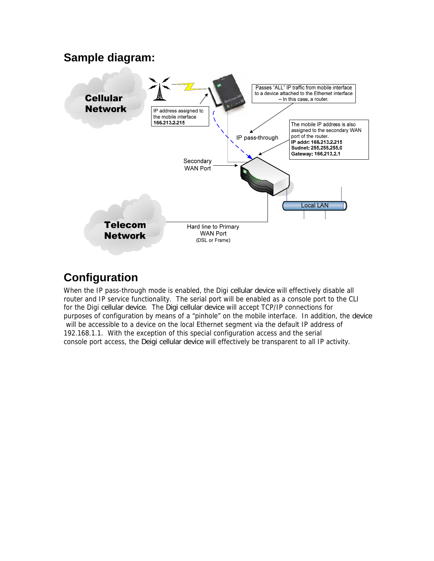#### **Sample diagram:**



## **Configuration**

When the IP pass-through mode is enabled, the Digi cellular device will effectively disable all router and IP service functionality. The serial port will be enabled as a console port to the CLI for the Digi cellular device. The Digi cellular device will accept TCP/IP connections for purposes of configuration by means of a "pinhole" on the mobile interface. In addition, the device will be accessible to a device on the local Ethernet segment via the default IP address of 192.168.1.1. With the exception of this special configuration access and the serial console port access, the Deigi cellular device will effectively be transparent to all IP activity.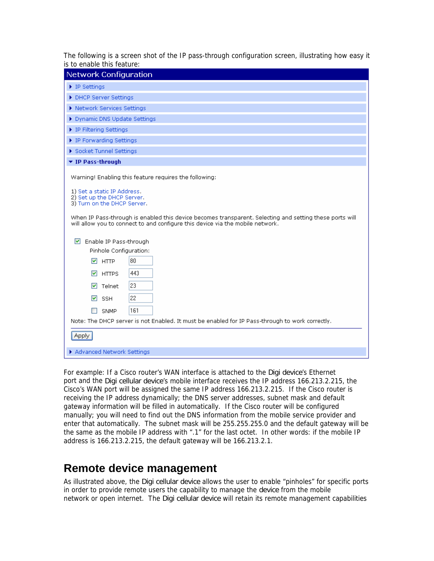The following is a screen shot of the IP pass-through configuration screen, illustrating how easy it is to enable this feature:

| <b>Network Configuration</b>                                                                                                                                                              |
|-------------------------------------------------------------------------------------------------------------------------------------------------------------------------------------------|
| $\blacktriangleright$ IP Settings                                                                                                                                                         |
| DHCP Server Settings                                                                                                                                                                      |
| ▶ Network Services Settings                                                                                                                                                               |
| ▶ Dynamic DNS Update Settings                                                                                                                                                             |
| ▶ IP Filtering Settings                                                                                                                                                                   |
| ▶ IP Forwarding Settings                                                                                                                                                                  |
| Socket Tunnel Settings                                                                                                                                                                    |
| ▼ IP Pass-through                                                                                                                                                                         |
| Warning! Enabling this feature requires the following:                                                                                                                                    |
| 1) Set a static IP Address.<br>2) Set up the DHCP Server.<br>3) Turn on the DHCP Server.                                                                                                  |
| When IP Pass-through is enabled this device becomes transparent. Selecting and setting these ports will<br>will allow you to connect to and configure this device via the mobile network. |
| $\triangleright$ Enable IP Pass-through                                                                                                                                                   |
| Pinhole Configuration:                                                                                                                                                                    |
| 80<br>$\overline{M}$ HTTP                                                                                                                                                                 |
| 443<br>$\triangledown$ HTTPS                                                                                                                                                              |
| 23<br>$\boxed{\triangledown}$ Telnet                                                                                                                                                      |
| 22<br>$\triangleright$ SSH                                                                                                                                                                |
| 161<br><b>SNMP</b>                                                                                                                                                                        |
| Note: The DHCP server is not Enabled. It must be enabled for IP Pass-through to work correctly.                                                                                           |
|                                                                                                                                                                                           |
| <b>Apply</b>                                                                                                                                                                              |
| Advanced Network Settings                                                                                                                                                                 |

For example: If a Cisco router's WAN interface is attached to the Digi device's Ethernet port and the Digi cellular device's mobile interface receives the IP address 166.213.2.215, the Cisco's WAN port will be assigned the same IP address 166.213.2.215. If the Cisco router is receiving the IP address dynamically; the DNS server addresses, subnet mask and default gateway information will be filled in automatically. If the Cisco router will be configured manually; you will need to find out the DNS information from the mobile service provider and enter that automatically. The subnet mask will be 255.255.255.0 and the default gateway will be the same as the mobile IP address with ".1" for the last octet. In other words: if the mobile IP address is 166.213.2.215, the default gateway will be 166.213.2.1.

### **Remote device management**

As illustrated above, the Digi cellular device allows the user to enable "pinholes" for specific ports in order to provide remote users the capability to manage the device from the mobile network or open internet. The Digi cellular device will retain its remote management capabilities